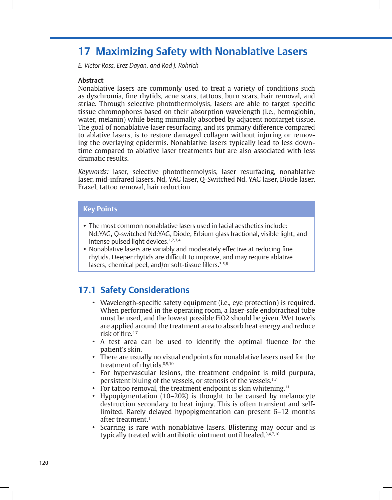# **17 Maximizing Safety with Nonablative Lasers**

*E. Victor Ross, Erez Dayan, and Rod J. Rohrich* 

#### **Abstract**

Nonablative lasers are commonly used to treat a variety of conditions such as dyschromia, fine rhytids, acne scars, tattoos, burn scars, hair removal, and striae. Through selective photothermolysis, lasers are able to target specific tissue chromophores based on their absorption wavelength (i.e., hemoglobin, water, melanin) while being minimally absorbed by adjacent nontarget tissue. The goal of nonablative laser resurfacing, and its primary difference compared to ablative lasers, is to restore damaged collagen without injuring or removing the overlaying epidermis. Nonablative lasers typically lead to less downtime compared to ablative laser treatments but are also associated with less dramatic results.

*Keywords:* laser, selective photothermolysis, laser resurfacing, nonablative laser, mid-infrared lasers, Nd, YAG laser, Q-Switched Nd, YAG laser, Diode laser, Fraxel, tattoo removal, hair reduction

#### **Key Points**

- The most common nonablative lasers used in facial aesthetics include: Nd:YAG, Q-switched Nd:YAG, Diode, Erbium glass fractional, visible light, and intense pulsed light devices.<sup>1,2,3,4</sup>
- Nonablative lasers are variably and moderately effective at reducing fine rhytids. Deeper rhytids are difficult to improve, and may require ablative lasers, chemical peel, and/or soft-tissue fillers.<sup>3,5,6</sup>

### **17.1 Safety Considerations**

- Wavelength-specific safety equipment (i.e., eye protection) is required. When performed in the operating room, a laser-safe endotracheal tube must be used, and the lowest possible FiO2 should be given. Wet towels are applied around the treatment area to absorb heat energy and reduce risk of fire.4,7
- A test area can be used to identify the optimal fluence for the patient's skin.
- There are usually no visual endpoints for nonablative lasers used for the treatment of rhytids.<sup>8,9,10</sup>
- For hypervascular lesions, the treatment endpoint is mild purpura, persistent bluing of the vessels, or stenosis of the vessels.1,7
- For tattoo removal, the treatment endpoint is skin whitening.<sup>11</sup>
- Hypopigmentation (10–20%) is thought to be caused by melanocyte destruction secondary to heat injury. This is often transient and selflimited. Rarely delayed hypopigmentation can present 6–12 months after treatment.<sup>1</sup>
- Scarring is rare with nonablative lasers. Blistering may occur and is typically treated with antibiotic ointment until healed.3,4,7,10